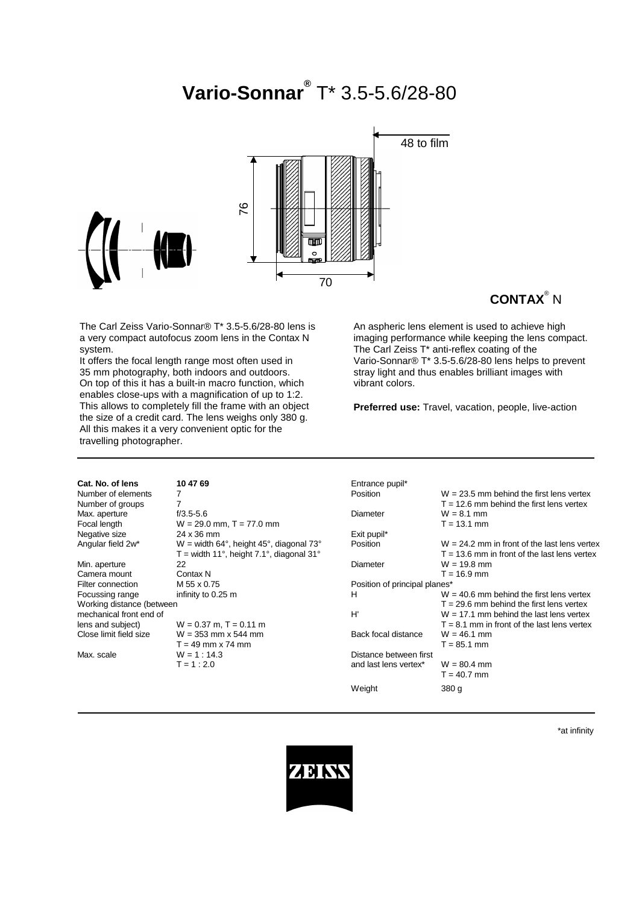# **Vario-Sonnar®** T\* 3.5-5.6/28-80



# **CONTAX**® N

The Carl Zeiss Vario-Sonnar® T\* 3.5-5.6/28-80 lens is a very compact autofocus zoom lens in the Contax N system.

It offers the focal length range most often used in 35 mm photography, both indoors and outdoors. On top of this it has a built-in macro function, which enables close-ups with a magnification of up to 1:2. This allows to completely fill the frame with an object the size of a credit card. The lens weighs only 380 g. All this makes it a very convenient optic for the travelling photographer.

An aspheric lens element is used to achieve high imaging performance while keeping the lens compact. The Carl Zeiss T\* anti-reflex coating of the Vario-Sonnar® T\* 3.5-5.6/28-80 lens helps to prevent stray light and thus enables brilliant images with vibrant colors.

**Preferred use:** Travel, vacation, people, live-action

| Cat. No. of lens          | 10 47 69                                   | Entrance pupil*               |                                                |
|---------------------------|--------------------------------------------|-------------------------------|------------------------------------------------|
| Number of elements        |                                            | Position                      | $W = 23.5$ mm behind the first lens vertex     |
| Number of groups          | 7                                          |                               | $T = 12.6$ mm behind the first lens vertex     |
| Max. aperture             | $f/3.5 - 5.6$                              | Diameter                      | $W = 8.1$ mm                                   |
| Focal length              | $W = 29.0$ mm, T = 77.0 mm                 |                               | $T = 13.1$ mm                                  |
| Negative size             | 24 x 36 mm                                 | Exit pupil*                   |                                                |
| Angular field 2w*         | $W =$ width 64°, height 45°, diagonal 73°  | <b>Position</b>               | $W = 24.2$ mm in front of the last lens vertex |
|                           | $T =$ width 11°, height 7.1°, diagonal 31° |                               | $T = 13.6$ mm in front of the last lens vertex |
| Min. aperture             | 22                                         | Diameter                      | $W = 19.8$ mm                                  |
| Camera mount              | Contax N                                   |                               | $T = 16.9$ mm                                  |
| Filter connection         | M 55 x 0.75                                | Position of principal planes* |                                                |
| Focussing range           | infinity to 0.25 m                         | н                             | $W = 40.6$ mm behind the first lens vertex     |
| Working distance (between |                                            |                               | $T = 29.6$ mm behind the first lens vertex     |
| mechanical front end of   |                                            | H'                            | $W = 17.1$ mm behind the last lens vertex      |
| lens and subject)         | $W = 0.37$ m, T = 0.11 m                   |                               | $T = 8.1$ mm in front of the last lens vertex  |
| Close limit field size    | $W = 353$ mm x 544 mm                      | Back focal distance           | $W = 46.1$ mm                                  |
|                           | $T = 49$ mm x 74 mm                        |                               | $T = 85.1$ mm                                  |
| Max. scale                | $W = 1 : 14.3$                             | Distance between first        |                                                |
|                           | $T = 1:2.0$                                | and last lens vertex*         | $W = 80.4$ mm                                  |
|                           |                                            |                               | $T = 40.7$ mm                                  |
|                           |                                            | Weight                        | 380 g                                          |

\*at infinity

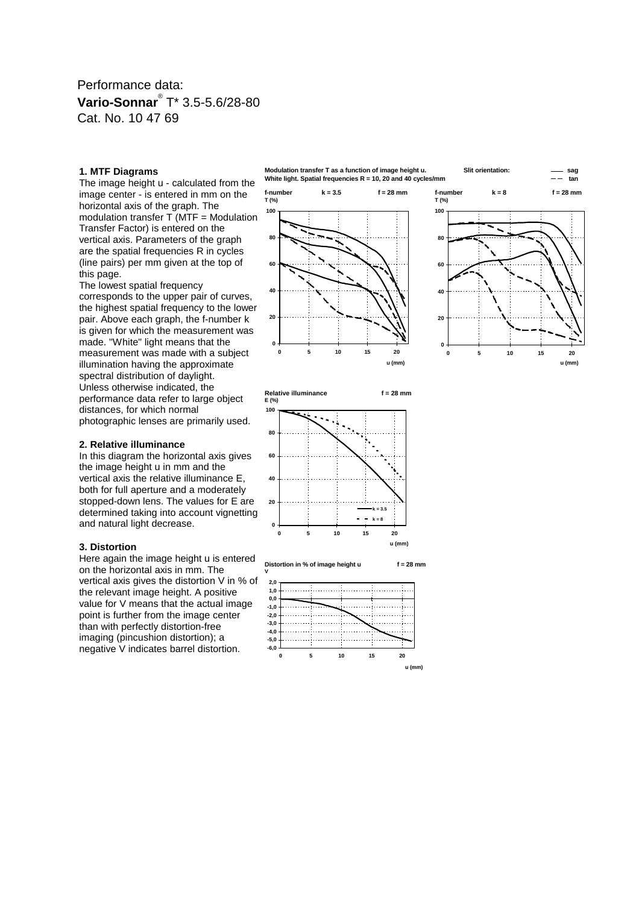### Performance data: **Vario-Sonnar**® T\* 3.5-5.6/28-80 Cat. No. 10 47 69

#### **1. MTF Diagrams**

The image height u - calculated from the image center - is entered in mm on the horizontal axis of the graph. The modulation transfer  $\overline{T}$  (MTF = Modulation Transfer Factor) is entered on the vertical axis. Parameters of the graph are the spatial frequencies R in cycles (line pairs) per mm given at the top of this page.

The lowest spatial frequency corresponds to the upper pair of curves, the highest spatial frequency to the lower pair. Above each graph, the f-number k is given for which the measurement was made. "White" light means that the measurement was made with a subject illumination having the approximate spectral distribution of daylight. Unless otherwise indicated, the performance data refer to large object distances, for which normal photographic lenses are primarily used.

#### **2. Relative illuminance**

In this diagram the horizontal axis gives the image height u in mm and the vertical axis the relative illuminance E, both for full aperture and a moderately stopped-down lens. The values for E are determined taking into account vignetting and natural light decrease.

#### **3. Distortion**

Here again the image height u is entered on the horizontal axis in mm. The vertical axis gives the distortion V in % of the relevant image height. A positive value for V means that the actual image point is further from the image center than with perfectly distortion-free imaging (pincushion distortion); a negative V indicates barrel distortion.







**Relative illuminance f = 28 mm E (%)**



**Distortion in % of image height u f = 28 mm**

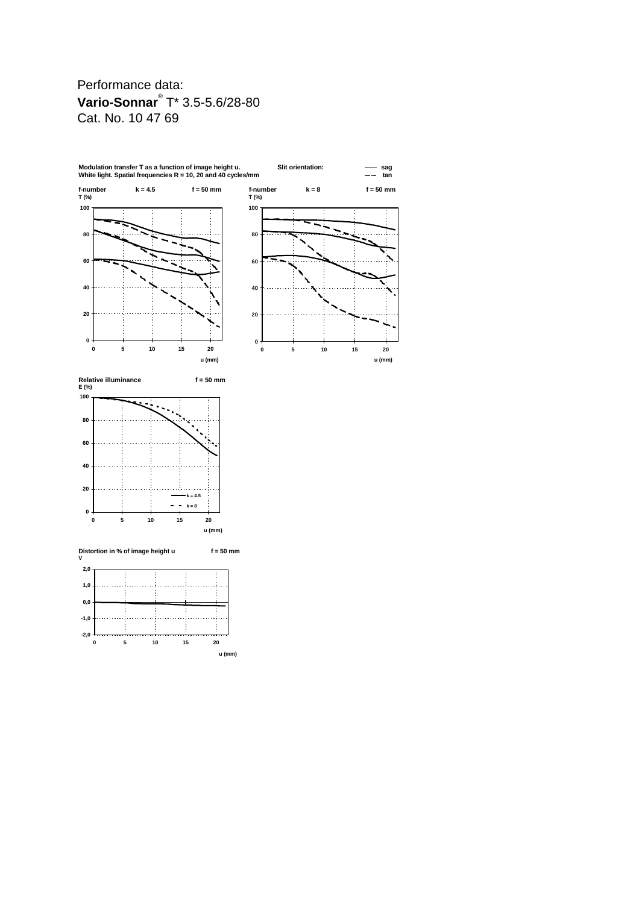# Performance data: **Vario-Sonnar**® T\* 3.5-5.6/28-80 Cat. No. 10 47 69